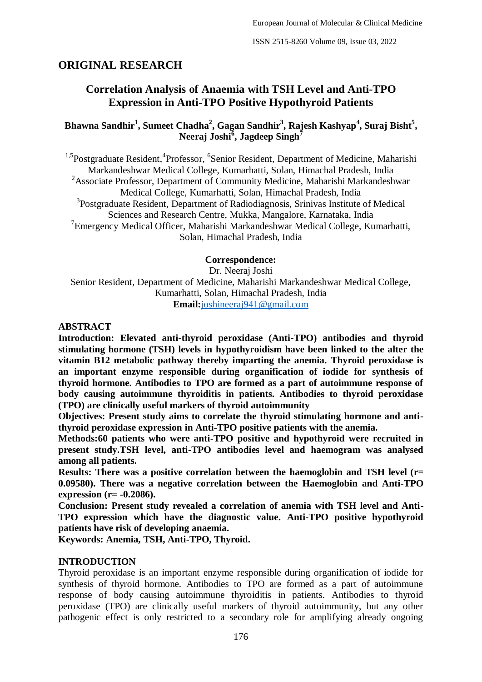# **ORIGINAL RESEARCH**

# **Correlation Analysis of Anaemia with TSH Level and Anti-TPO Expression in Anti-TPO Positive Hypothyroid Patients**

## **Bhawna Sandhir<sup>1</sup> , Sumeet Chadha<sup>2</sup> , Gagan Sandhir<sup>3</sup> , Rajesh Kashyap<sup>4</sup> , Suraj Bisht<sup>5</sup> , Neeraj Joshi<sup>6</sup> , Jagdeep Singh<sup>7</sup>**

<sup>1,5</sup>Postgraduate Resident, <sup>4</sup>Professor, <sup>6</sup>Senior Resident, Department of Medicine, Maharishi Markandeshwar Medical College, Kumarhatti, Solan, Himachal Pradesh, India <sup>2</sup>Associate Professor, Department of Community Medicine, Maharishi Markandeshwar Medical College, Kumarhatti, Solan, Himachal Pradesh, India <sup>3</sup>Postgraduate Resident, Department of Radiodiagnosis, Srinivas Institute of Medical Sciences and Research Centre, Mukka, Mangalore, Karnataka, India <sup>7</sup> Emergency Medical Officer, Maharishi Markandeshwar Medical College, Kumarhatti, Solan, Himachal Pradesh, India

### **Correspondence:**

Dr. Neeraj Joshi Senior Resident, Department of Medicine, Maharishi Markandeshwar Medical College, Kumarhatti, Solan, Himachal Pradesh, India **Email:**[joshineeraj941@gmail.com](about:blank)

### **ABSTRACT**

**Introduction: Elevated anti-thyroid peroxidase (Anti-TPO) antibodies and thyroid stimulating hormone (TSH) levels in hypothyroidism have been linked to the alter the vitamin B12 metabolic pathway thereby imparting the anemia. Thyroid peroxidase is an important enzyme responsible during organification of iodide for synthesis of thyroid hormone. Antibodies to TPO are formed as a part of autoimmune response of body causing autoimmune thyroiditis in patients. Antibodies to thyroid peroxidase (TPO) are clinically useful markers of thyroid autoimmunity** 

**Objectives: Present study aims to correlate the thyroid stimulating hormone and antithyroid peroxidase expression in Anti-TPO positive patients with the anemia.**

**Methods:60 patients who were anti-TPO positive and hypothyroid were recruited in present study.TSH level, anti-TPO antibodies level and haemogram was analysed among all patients.**

**Results: There was a positive correlation between the haemoglobin and TSH level (r= 0.09580). There was a negative correlation between the Haemoglobin and Anti-TPO expression (r= -0.2086).**

**Conclusion: Present study revealed a correlation of anemia with TSH level and Anti-TPO expression which have the diagnostic value. Anti-TPO positive hypothyroid patients have risk of developing anaemia.**

**Keywords: Anemia, TSH, Anti-TPO, Thyroid.**

### **INTRODUCTION**

Thyroid peroxidase is an important enzyme responsible during organification of iodide for synthesis of thyroid hormone. Antibodies to TPO are formed as a part of autoimmune response of body causing autoimmune thyroiditis in patients. Antibodies to thyroid peroxidase (TPO) are clinically useful markers of thyroid autoimmunity, but any other pathogenic effect is only restricted to a secondary role for amplifying already ongoing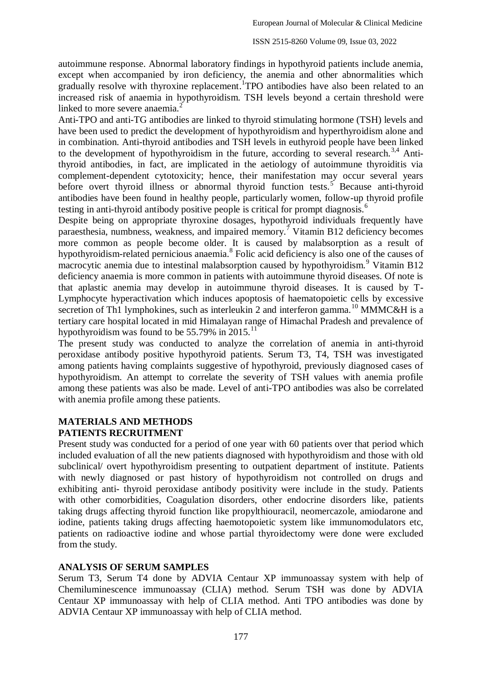autoimmune response. Abnormal laboratory findings in hypothyroid patients include anemia, except when accompanied by iron deficiency, the anemia and other abnormalities which gradually resolve with thyroxine replacement. TPO antibodies have also been related to an increased risk of anaemia in hypothyroidism. TSH levels beyond a certain threshold were linked to more severe anaemia.<sup>2</sup>

Anti-TPO and anti-TG antibodies are linked to thyroid stimulating hormone (TSH) levels and have been used to predict the development of hypothyroidism and hyperthyroidism alone and in combination. Anti-thyroid antibodies and TSH levels in euthyroid people have been linked to the development of hypothyroidism in the future, according to several research.<sup>3,4</sup> Antithyroid antibodies, in fact, are implicated in the aetiology of autoimmune thyroiditis via complement-dependent cytotoxicity; hence, their manifestation may occur several years before overt thyroid illness or abnormal thyroid function tests.<sup>5</sup> Because anti-thyroid antibodies have been found in healthy people, particularly women, follow-up thyroid profile testing in anti-thyroid antibody positive people is critical for prompt diagnosis.<sup>6</sup>

Despite being on appropriate thyroxine dosages, hypothyroid individuals frequently have paraesthesia, numbness, weakness, and impaired memory.<sup>7</sup> Vitamin B12 deficiency becomes more common as people become older. It is caused by malabsorption as a result of hypothyroidism-related pernicious anaemia.<sup>8</sup> Folic acid deficiency is also one of the causes of macrocytic anemia due to intestinal malabsorption caused by hypothyroidism.<sup>9</sup> Vitamin B12 deficiency anaemia is more common in patients with autoimmune thyroid diseases. Of note is that aplastic anemia may develop in autoimmune thyroid diseases. It is caused by T-Lymphocyte hyperactivation which induces apoptosis of haematopoietic cells by excessive secretion of Th1 lymphokines, such as interleukin 2 and interferon gamma.<sup>10</sup> MMMC&H is a tertiary care hospital located in mid Himalayan range of Himachal Pradesh and prevalence of hypothyroidism was found to be  $55.79\%$  in 2015.<sup>11</sup>

The present study was conducted to analyze the correlation of anemia in anti-thyroid peroxidase antibody positive hypothyroid patients. Serum T3, T4, TSH was investigated among patients having complaints suggestive of hypothyroid, previously diagnosed cases of hypothyroidism. An attempt to correlate the severity of TSH values with anemia profile among these patients was also be made. Level of anti-TPO antibodies was also be correlated with anemia profile among these patients.

## **MATERIALS AND METHODS PATIENTS RECRUITMENT**

Present study was conducted for a period of one year with 60 patients over that period which included evaluation of all the new patients diagnosed with hypothyroidism and those with old subclinical/ overt hypothyroidism presenting to outpatient department of institute. Patients with newly diagnosed or past history of hypothyroidism not controlled on drugs and exhibiting anti- thyroid peroxidase antibody positivity were include in the study. Patients with other comorbidities, Coagulation disorders, other endocrine disorders like, patients taking drugs affecting thyroid function like propylthiouracil, neomercazole, amiodarone and iodine, patients taking drugs affecting haemotopoietic system like immunomodulators etc, patients on radioactive iodine and whose partial thyroidectomy were done were excluded from the study.

## **ANALYSIS OF SERUM SAMPLES**

Serum T3, Serum T4 done by ADVIA Centaur XP immunoassay system with help of Chemiluminescence immunoassay (CLIA) method. Serum TSH was done by ADVIA Centaur XP immunoassay with help of CLIA method. Anti TPO antibodies was done by ADVIA Centaur XP immunoassay with help of CLIA method.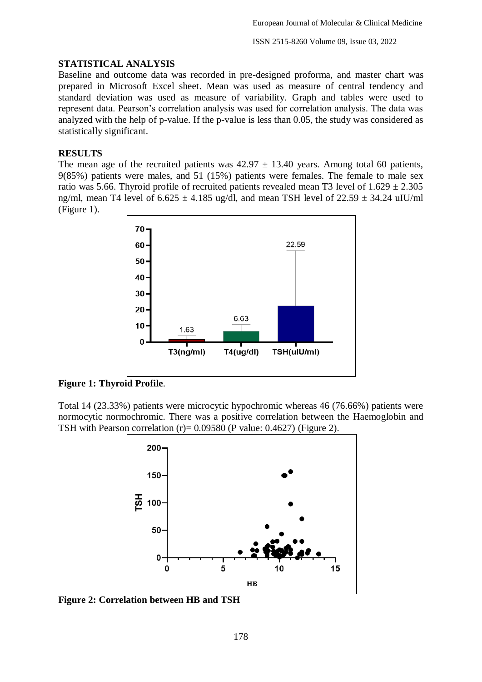ISSN 2515-8260 Volume 09, Issue 03, 2022

#### **STATISTICAL ANALYSIS**

Baseline and outcome data was recorded in pre-designed proforma, and master chart was prepared in Microsoft Excel sheet. Mean was used as measure of central tendency and standard deviation was used as measure of variability. Graph and tables were used to represent data. Pearson's correlation analysis was used for correlation analysis. The data was analyzed with the help of p-value. If the p-value is less than 0.05, the study was considered as statistically significant.

### **RESULTS**

The mean age of the recruited patients was  $42.97 \pm 13.40$  years. Among total 60 patients, 9(85%) patients were males, and 51 (15%) patients were females. The female to male sex ratio was 5.66. Thyroid profile of recruited patients revealed mean T3 level of  $1.629 \pm 2.305$ ng/ml, mean T4 level of  $6.625 \pm 4.185$  ug/dl, and mean TSH level of  $22.59 \pm 34.24$  uIU/ml (Figure 1).



**Figure 1: Thyroid Profile**.

Total 14 (23.33%) patients were microcytic hypochromic whereas 46 (76.66%) patients were normocytic normochromic. There was a positive correlation between the Haemoglobin and TSH with Pearson correlation  $(r) = 0.09580$  (P value: 0.4627) (Figure 2).



**Figure 2: Correlation between HB and TSH**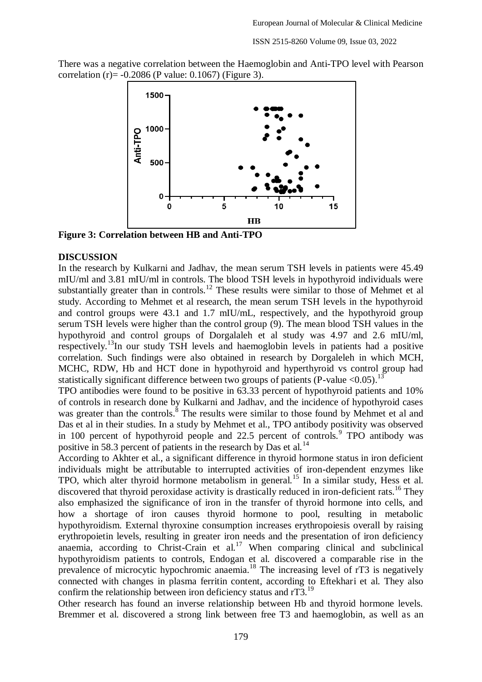There was a negative correlation between the Haemoglobin and Anti-TPO level with Pearson correlation (r)= -0.2086 (P value: 0.1067) (Figure 3).



**Figure 3: Correlation between HB and Anti-TPO**

#### **DISCUSSION**

In the research by Kulkarni and Jadhav, the mean serum TSH levels in patients were 45.49 mIU/ml and 3.81 mIU/ml in controls. The blood TSH levels in hypothyroid individuals were substantially greater than in controls.<sup>12</sup> These results were similar to those of Mehmet et al study. According to Mehmet et al research, the mean serum TSH levels in the hypothyroid and control groups were 43.1 and 1.7 mIU/mL, respectively, and the hypothyroid group serum TSH levels were higher than the control group (9). The mean blood TSH values in the hypothyroid and control groups of Dorgalaleh et al study was 4.97 and 2.6 mIU/ml, respectively.<sup>13</sup>In our study TSH levels and haemoglobin levels in patients had a positive correlation. Such findings were also obtained in research by Dorgaleleh in which MCH, MCHC, RDW, Hb and HCT done in hypothyroid and hyperthyroid vs control group had statistically significant difference between two groups of patients (P-value <  $0.05$ ).<sup>13</sup>

TPO antibodies were found to be positive in 63.33 percent of hypothyroid patients and 10% of controls in research done by Kulkarni and Jadhav, and the incidence of hypothyroid cases was greater than the controls.<sup>8</sup> The results were similar to those found by Mehmet et al and Das et al in their studies. In a study by Mehmet et al., TPO antibody positivity was observed in 100 percent of hypothyroid people and 22.5 percent of controls.<sup>9</sup> TPO antibody was positive in 58.3 percent of patients in the research by Das et al.<sup>14</sup>

According to Akhter et al., a significant difference in thyroid hormone status in iron deficient individuals might be attributable to interrupted activities of iron-dependent enzymes like TPO, which alter thyroid hormone metabolism in general.<sup>15</sup> In a similar study, Hess et al. discovered that thyroid peroxidase activity is drastically reduced in iron-deficient rats.<sup>16</sup> They also emphasized the significance of iron in the transfer of thyroid hormone into cells, and how a shortage of iron causes thyroid hormone to pool, resulting in metabolic hypothyroidism. External thyroxine consumption increases erythropoiesis overall by raising erythropoietin levels, resulting in greater iron needs and the presentation of iron deficiency anaemia, according to Christ-Crain et al.<sup>17</sup> When comparing clinical and subclinical hypothyroidism patients to controls, Endogan et al. discovered a comparable rise in the prevalence of microcytic hypochromic anaemia.<sup>18</sup> The increasing level of rT3 is negatively connected with changes in plasma ferritin content, according to Eftekhari et al. They also confirm the relationship between iron deficiency status and rT3.<sup>19</sup>

Other research has found an inverse relationship between Hb and thyroid hormone levels. Bremmer et al. discovered a strong link between free T3 and haemoglobin, as well as an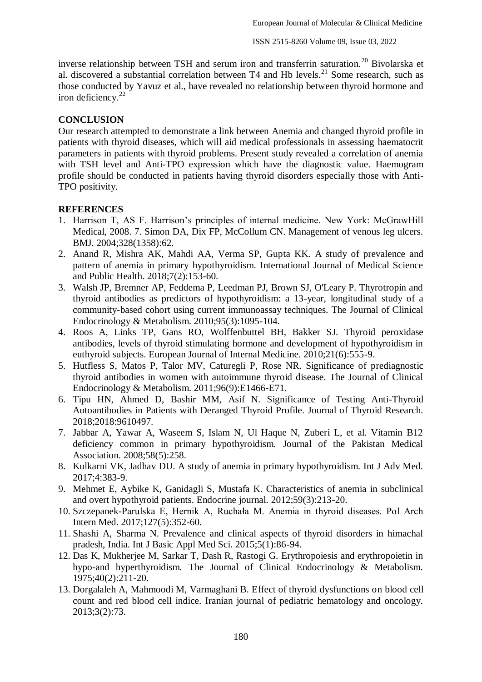inverse relationship between TSH and serum iron and transferrin saturation.<sup>20</sup> Bivolarska et al. discovered a substantial correlation between  $T4$  and Hb levels.<sup>21</sup> Some research, such as those conducted by Yavuz et al., have revealed no relationship between thyroid hormone and iron deficiency.<sup>22</sup>

### **CONCLUSION**

Our research attempted to demonstrate a link between Anemia and changed thyroid profile in patients with thyroid diseases, which will aid medical professionals in assessing haematocrit parameters in patients with thyroid problems. Present study revealed a correlation of anemia with TSH level and Anti-TPO expression which have the diagnostic value. Haemogram profile should be conducted in patients having thyroid disorders especially those with Anti-TPO positivity.

### **REFERENCES**

- 1. Harrison T, AS F. Harrison's principles of internal medicine. New York: McGrawHill Medical, 2008. 7. Simon DA, Dix FP, McCollum CN. Management of venous leg ulcers. BMJ. 2004;328(1358):62.
- 2. Anand R, Mishra AK, Mahdi AA, Verma SP, Gupta KK. A study of prevalence and pattern of anemia in primary hypothyroidism. International Journal of Medical Science and Public Health. 2018;7(2):153-60.
- 3. Walsh JP, Bremner AP, Feddema P, Leedman PJ, Brown SJ, O'Leary P. Thyrotropin and thyroid antibodies as predictors of hypothyroidism: a 13-year, longitudinal study of a community-based cohort using current immunoassay techniques. The Journal of Clinical Endocrinology & Metabolism. 2010;95(3):1095-104.
- 4. Roos A, Links TP, Gans RO, Wolffenbuttel BH, Bakker SJ. Thyroid peroxidase antibodies, levels of thyroid stimulating hormone and development of hypothyroidism in euthyroid subjects. European Journal of Internal Medicine. 2010;21(6):555-9.
- 5. Hutfless S, Matos P, Talor MV, Caturegli P, Rose NR. Significance of prediagnostic thyroid antibodies in women with autoimmune thyroid disease. The Journal of Clinical Endocrinology & Metabolism. 2011;96(9):E1466-E71.
- 6. Tipu HN, Ahmed D, Bashir MM, Asif N. Significance of Testing Anti-Thyroid Autoantibodies in Patients with Deranged Thyroid Profile. Journal of Thyroid Research. 2018;2018:9610497.
- 7. Jabbar A, Yawar A, Waseem S, Islam N, Ul Haque N, Zuberi L, et al. Vitamin B12 deficiency common in primary hypothyroidism. Journal of the Pakistan Medical Association. 2008;58(5):258.
- 8. Kulkarni VK, Jadhav DU. A study of anemia in primary hypothyroidism. Int J Adv Med. 2017;4:383-9.
- 9. Mehmet E, Aybike K, Ganidagli S, Mustafa K. Characteristics of anemia in subclinical and overt hypothyroid patients. Endocrine journal. 2012;59(3):213-20.
- 10. Szczepanek-Parulska E, Hernik A, Ruchała M. Anemia in thyroid diseases. Pol Arch Intern Med. 2017;127(5):352-60.
- 11. Shashi A, Sharma N. Prevalence and clinical aspects of thyroid disorders in himachal pradesh, India. Int J Basic Appl Med Sci. 2015;5(1):86-94.
- 12. Das K, Mukherjee M, Sarkar T, Dash R, Rastogi G. Erythropoiesis and erythropoietin in hypo-and hyperthyroidism. The Journal of Clinical Endocrinology & Metabolism. 1975;40(2):211-20.
- 13. Dorgalaleh A, Mahmoodi M, Varmaghani B. Effect of thyroid dysfunctions on blood cell count and red blood cell indice. Iranian journal of pediatric hematology and oncology. 2013;3(2):73.